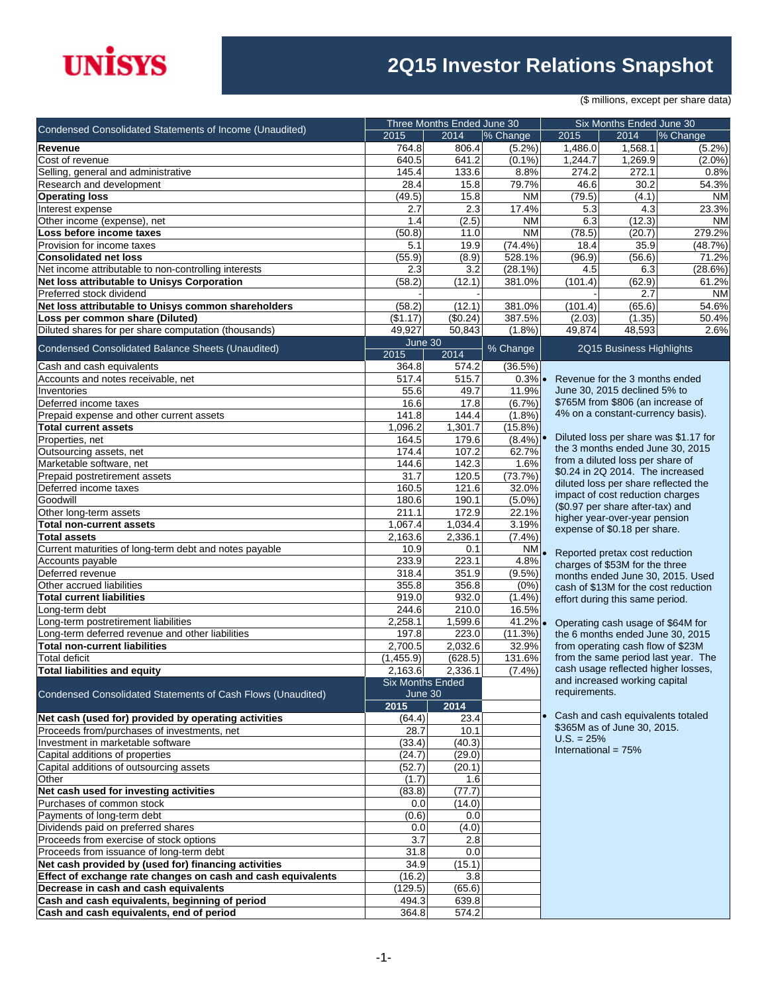# **UNISYS**

### **2Q15 Investor Relations Snapshot**

(\$ millions, except per share data)

|                                                                                        | Three Months Ended June 30 |                    |                          |                                      | Six Months Ended June 30                                              |                                       |  |  |
|----------------------------------------------------------------------------------------|----------------------------|--------------------|--------------------------|--------------------------------------|-----------------------------------------------------------------------|---------------------------------------|--|--|
| Condensed Consolidated Statements of Income (Unaudited)                                | 2015                       | 2014               | % Change                 | 2015                                 | 2014                                                                  | % Change                              |  |  |
| Revenue                                                                                | 764.8                      | 806.4              | (5.2%)                   | 1,486.0                              | 1,568.1                                                               | $(5.2\%)$                             |  |  |
| Cost of revenue                                                                        | 640.5                      | 641.2              | $(0.1\%)$                | 1,244.7                              | 1,269.9                                                               | $(2.0\%)$                             |  |  |
| Selling, general and administrative                                                    | 145.4                      | 133.6              | 8.8%                     | 274.2                                | 272.1                                                                 | 0.8%                                  |  |  |
| Research and development                                                               | 28.4                       | 15.8               | 79.7%                    | 46.6                                 | 30.2                                                                  | 54.3%                                 |  |  |
| <b>Operating loss</b>                                                                  | (49.5)                     | 15.8               | <b>NM</b>                | (79.5)                               | (4.1)                                                                 | <b>NM</b>                             |  |  |
| Interest expense                                                                       | 2.7                        | 2.3                | 17.4%                    | 5.3                                  | 4.3                                                                   | 23.3%                                 |  |  |
| Other income (expense), net                                                            | 1.4                        | (2.5)              | <b>NM</b>                | 6.3                                  | (12.3)                                                                | <b>NM</b>                             |  |  |
| Loss before income taxes                                                               | (50.8)                     | 11.0               | <b>NM</b>                | (78.5)                               | (20.7)                                                                | 279.2%                                |  |  |
| Provision for income taxes                                                             | 5.1                        | 19.9               | (74.4%)                  | 18.4                                 | 35.9                                                                  | (48.7%)                               |  |  |
| <b>Consolidated net loss</b>                                                           | (55.9)                     | (8.9)              | 528.1%                   | (96.9)                               | (56.6)                                                                | 71.2%                                 |  |  |
| Net income attributable to non-controlling interests                                   | 2.3                        | 3.2                | $(28.1\%)$               | 4.5                                  | 6.3                                                                   | (28.6%)                               |  |  |
| Net loss attributable to Unisys Corporation                                            | (58.2)                     | (12.1)             | 381.0%                   | (101.4)                              | (62.9)                                                                | 61.2%                                 |  |  |
| Preferred stock dividend                                                               |                            |                    |                          |                                      | 2.7                                                                   | <b>NM</b>                             |  |  |
| Net loss attributable to Unisys common shareholders<br>Loss per common share (Diluted) | (58.2)<br>(\$1.17)         | (12.1)<br>(\$0.24) | 381.0%<br>387.5%         | (101.4)<br>(2.03)                    | (65.6)<br>(1.35)                                                      | 54.6%<br>50.4%                        |  |  |
| Diluted shares for per share computation (thousands)                                   | 49,927                     | 50,843             | (1.8%)                   | 49,874                               | 48,593                                                                | 2.6%                                  |  |  |
|                                                                                        | June 30                    |                    |                          |                                      |                                                                       |                                       |  |  |
| Condensed Consolidated Balance Sheets (Unaudited)                                      | 2015                       | 2014               | % Change                 |                                      | 2Q15 Business Highlights                                              |                                       |  |  |
| Cash and cash equivalents                                                              | 364.8                      | 574.2              | (36.5%)                  |                                      |                                                                       |                                       |  |  |
| Accounts and notes receivable, net                                                     | 517.4                      | 515.7              | $0.3\%$                  |                                      | Revenue for the 3 months ended                                        |                                       |  |  |
| Inventories                                                                            | 55.6                       | 49.7               | 11.9%                    |                                      | June 30, 2015 declined 5% to                                          |                                       |  |  |
| Deferred income taxes                                                                  | 16.6                       | 17.8               | (6.7%)                   |                                      | \$765M from \$806 (an increase of                                     |                                       |  |  |
| Prepaid expense and other current assets                                               | 141.8                      | 144.4              | (1.8%)                   |                                      | 4% on a constant-currency basis).                                     |                                       |  |  |
| <b>Total current assets</b>                                                            | 1.096.2                    | 1,301.7            | (15.8%)                  |                                      |                                                                       |                                       |  |  |
| Properties, net                                                                        | 164.5                      | 179.6              | $(8.4\%)$                |                                      |                                                                       | Diluted loss per share was \$1.17 for |  |  |
| Outsourcing assets, net                                                                | 174.4                      | 107.2              | 62.7%                    |                                      | the 3 months ended June 30, 2015                                      |                                       |  |  |
| Marketable software, net                                                               | 144.6                      | 142.3              | 1.6%                     |                                      | from a diluted loss per share of                                      |                                       |  |  |
| Prepaid postretirement assets                                                          | 31.7                       | 120.5              | (73.7%)                  |                                      | \$0.24 in 2Q 2014. The increased                                      |                                       |  |  |
| Deferred income taxes                                                                  | 160.5                      | 121.6              | 32.0%                    | diluted loss per share reflected the |                                                                       |                                       |  |  |
| Goodwill                                                                               | 180.6                      | 190.1              | $(5.0\%)$                |                                      | impact of cost reduction charges<br>(\$0.97 per share after-tax) and  |                                       |  |  |
| Other long-term assets                                                                 | 211.1                      | 172.9              | 22.1%                    | higher year-over-year pension        |                                                                       |                                       |  |  |
| <b>Total non-current assets</b>                                                        | 1,067.4                    | 1,034.4            | 3.19%                    | expense of \$0.18 per share.         |                                                                       |                                       |  |  |
| <b>Total assets</b>                                                                    | 2,163.6                    | 2,336.1            | $(7.4\%)$                |                                      |                                                                       |                                       |  |  |
| Current maturities of long-term debt and notes payable                                 | 10.9                       | 0.1                | $\overline{\text{NM}}$ . |                                      | Reported pretax cost reduction                                        |                                       |  |  |
| Accounts payable                                                                       | 233.9                      | 223.1              | 4.8%                     | charges of \$53M for the three       |                                                                       |                                       |  |  |
| Deferred revenue                                                                       | 318.4                      | 351.9              | (9.5%)                   | months ended June 30, 2015. Used     |                                                                       |                                       |  |  |
| Other accrued liabilities                                                              | 355.8                      | 356.8              | (0%)                     | cash of \$13M for the cost reduction |                                                                       |                                       |  |  |
| <b>Total current liabilities</b>                                                       | 919.0                      | 932.0              | $(1.4\%)$                |                                      | effort during this same period.                                       |                                       |  |  |
| Long-term debt<br>Long-term postretirement liabilities                                 | 244.6                      | 210.0              | 16.5%                    |                                      |                                                                       |                                       |  |  |
| Long-term deferred revenue and other liabilities                                       | 2,258.1<br>197.8           | 1,599.6<br>223.0   | 41.2%<br>(11.3%)         |                                      | Operating cash usage of \$64M for<br>the 6 months ended June 30, 2015 |                                       |  |  |
| <b>Total non-current liabilities</b>                                                   | 2,700.5                    | 2,032.6            | 32.9%                    |                                      | from operating cash flow of \$23M                                     |                                       |  |  |
| <b>Total deficit</b>                                                                   | (1,455.9)                  | (628.5)            | 131.6%                   |                                      |                                                                       | from the same period last year. The   |  |  |
| <b>Total liabilities and equity</b>                                                    | 2,163.6                    | 2,336.1            | $(7.4\%)$                |                                      | cash usage reflected higher losses,                                   |                                       |  |  |
|                                                                                        | <b>Six Months Ended</b>    |                    |                          |                                      | and increased working capital                                         |                                       |  |  |
| Condensed Consolidated Statements of Cash Flows (Unaudited)                            | June 30                    |                    |                          | requirements.                        |                                                                       |                                       |  |  |
|                                                                                        | 2015                       | 2014               |                          |                                      |                                                                       |                                       |  |  |
| Net cash (used for) provided by operating activities                                   | (64.4)                     | 23.4               |                          | $\bullet$                            | Cash and cash equivalents totaled                                     |                                       |  |  |
| Proceeds from/purchases of investments, net                                            | 28.7                       | 10.1               |                          |                                      | \$365M as of June 30, 2015.                                           |                                       |  |  |
| Investment in marketable software                                                      | (33.4)                     | (40.3)             |                          | $U.S. = 25%$                         |                                                                       |                                       |  |  |
| Capital additions of properties                                                        | (24.7)                     | (29.0)             |                          | International = $75%$                |                                                                       |                                       |  |  |
| Capital additions of outsourcing assets                                                | (52.7)                     | (20.1)             |                          |                                      |                                                                       |                                       |  |  |
| Other                                                                                  | (1.7)                      | 1.6                |                          |                                      |                                                                       |                                       |  |  |
| Net cash used for investing activities                                                 | (83.8)                     | (77.7)             |                          |                                      |                                                                       |                                       |  |  |
| Purchases of common stock                                                              | 0.0                        | (14.0)             |                          |                                      |                                                                       |                                       |  |  |
| Payments of long-term debt                                                             | (0.6)                      | 0.0                |                          |                                      |                                                                       |                                       |  |  |
| Dividends paid on preferred shares                                                     | 0.0                        | (4.0)              |                          |                                      |                                                                       |                                       |  |  |
| Proceeds from exercise of stock options                                                | 3.7                        | 2.8                |                          |                                      |                                                                       |                                       |  |  |
| Proceeds from issuance of long-term debt                                               | 31.8                       | 0.0                |                          |                                      |                                                                       |                                       |  |  |
| Net cash provided by (used for) financing activities                                   | 34.9                       | (15.1)             |                          |                                      |                                                                       |                                       |  |  |
| Effect of exchange rate changes on cash and cash equivalents                           | (16.2)                     | 3.8                |                          |                                      |                                                                       |                                       |  |  |
| Decrease in cash and cash equivalents                                                  | (129.5)                    | (65.6)             |                          |                                      |                                                                       |                                       |  |  |
| Cash and cash equivalents, beginning of period                                         | 494.3                      | 639.8              |                          |                                      |                                                                       |                                       |  |  |
| Cash and cash equivalents, end of period                                               | 364.8                      | 574.2              |                          |                                      |                                                                       |                                       |  |  |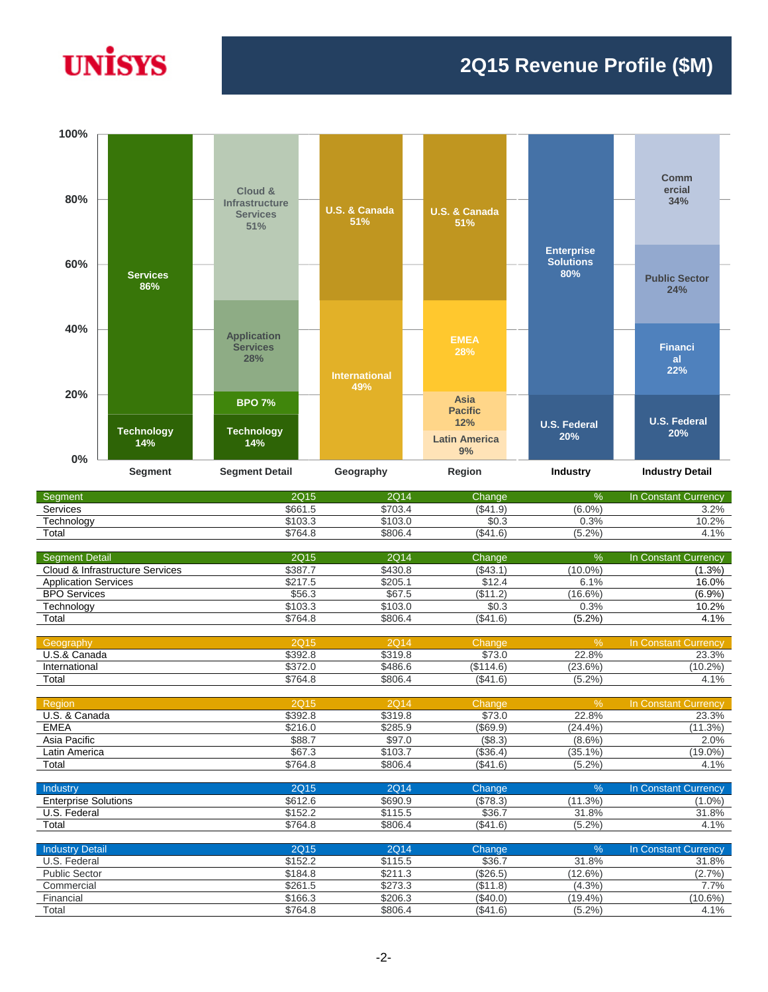# **UNISYS**

#### **2Q15 Revenue Profile (\$M)**



| Segment    | 2Q15    | <b>2Q14</b> | Change   | 7ο     | ln(<br><b>Constant Currency</b> |
|------------|---------|-------------|----------|--------|---------------------------------|
| Services   | \$661.5 | \$703.4     | (S41.9)  | (6.0%  | 3.2%                            |
| Fechnoloav | \$103.3 | \$103.0     | JU.J     | 0.3%   | 0.2%                            |
| Total      | \$764.8 | \$806.4     | (\$41.6) | (5.2%) | $.1\%$                          |

| <b>Seament Detail</b>           | 2Q15        | 2Q14        | Change    | $\%$          | In Constant Currency        |
|---------------------------------|-------------|-------------|-----------|---------------|-----------------------------|
| Cloud & Infrastructure Services | \$387.7     | \$430.8     | (S43.1)   | $(10.0\%)$    | $(1.3\%)$                   |
| <b>Application Services</b>     | \$217.5     | \$205.1     | \$12.4    | 6.1%          | 16.0%                       |
| <b>BPO Services</b>             | \$56.3      | \$67.5      | (\$11.2)  | $(16.6\%)$    | (6.9%)                      |
| Technology                      | \$103.3     | \$103.0     | \$0.3     | 0.3%          | 10.2%                       |
| Total                           | \$764.8     | \$806.4     | (\$41.6)  | (5.2%)        | 4.1%                        |
|                                 |             |             |           |               |                             |
| Geography                       | <b>2Q15</b> | <b>2Q14</b> | Change    | $\frac{9}{6}$ | <b>In Constant Currency</b> |
| U.S.& Canada                    | \$392.8     | \$319.8     | \$73.0    | 22.8%         | 23.3%                       |
| International                   | \$372.0     | \$486.6     | (\$114.6) | (23.6%)       | $(10.2\%)$                  |
| Total                           | \$764.8     | \$806.4     | (\$41.6)  | (5.2%)        | 4.1%                        |
|                                 |             |             |           |               |                             |
| Region                          | <b>2Q15</b> | <b>2Q14</b> | Change    | $\frac{9}{6}$ | In Constant Currency        |
| U.S. & Canada                   | \$392.8     | \$319.8     | \$73.0    | 22.8%         | 23.3%                       |
| <b>EMEA</b>                     | \$216.0     | \$285.9     | (\$69.9)  | (24.4%        | (11.3%)                     |
| Asia Pacific                    | \$88.7      | \$97.0      | (\$8.3)   | $(8.6\%)$     | 2.0%                        |
| Latin America                   | \$67.3      | \$103.7     | (\$36.4)  | $(35.1\%)$    | $(19.0\%)$                  |
| Total                           | \$764.8     | \$806.4     | (\$41.6)  | $(5.2\%)$     | 4.1%                        |
|                                 |             |             |           |               |                             |
| Industry                        | <b>2Q15</b> | <b>2Q14</b> | Change    | $\frac{9}{6}$ | In Constant Currency        |
| <b>Enterprise Solutions</b>     | \$612.6     | \$690.9     | (\$78.3)  | (11.3%)       | $(1.0\%)$                   |
| U.S. Federal                    | \$152.2     | \$115.5     | \$36.7    | 31.8%         | 31.8%                       |
| Total                           | \$764.8     | \$806.4     | (\$41.6)  | $(5.2\%)$     | 4.1%                        |
|                                 |             |             |           |               |                             |
| <b>Industry Detail</b>          | <b>2Q15</b> | <b>2Q14</b> | Change    | $\frac{9}{6}$ | In Constant Currency        |
| U.S. Federal                    | \$152.2     | \$115.5     | \$36.7    | 31.8%         | 31.8%                       |
| <b>Public Sector</b>            | \$184.8     | \$211.3     | (\$26.5)  | (12.6%)       | (2.7%)                      |
| Commercial                      | \$261.5     | \$273.3     | (\$11.8)  | $(4.3\%)$     | 7.7%                        |
| Financial                       | \$166.3     | \$206.3     | (\$40.0)  | $(19.4\%)$    | $(10.6\%)$                  |

Total \$764.8 \$806.4 (\$41.6) (5.2%) 4.1%